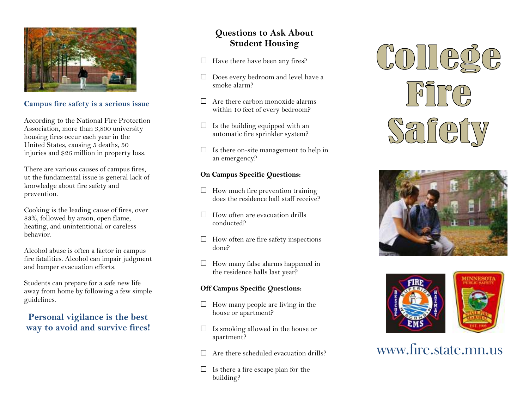

#### **Campus fire safety is a serious issue**

According to the National Fire Protection Association, more than 3,800 university housing fires occur each year in the United States, causing 5 deaths, 50 injuries and \$26 million in property loss.

There are various causes of campus fires, ut the fundamental issue is general lack of knowledge about fire safety and prevention.

Cooking is the leading cause of fires, over 83%, followed by arson, open flame, heating, and unintentional or careless behavior.

Alcohol abuse is often a factor in campus fire fatalities. Alcohol can impair judgment and hamper evacuation efforts.

Students can prepare for a safe new life away from home by following a few simple guidelines.

#### **Personal vigilance is the best way to avoid and survive fires!**

### **Questions to Ask About Student Housing**

- $\Box$  Have there have been any fires?
- $\Box$  Does every bedroom and level have a smoke alarm? smoke alarm?
- $\Box$  Are there carbon monoxide alarms within 10 feet of every bedroom?
- $\Box$  Is the building equipped with an automatic fire sprinkler system? automatic fire sprinkler system?
- $\Box$  Is there on-site management to help in<br>an emergency? an emergency?

#### **On Campus Specific Questions:**

- $\Box$  How much fire prevention training<br>does the residence hall staff receives does the residence hall staff receive?
- $\Box$  How often are evacuation drills<br>conducted? conducted?
- $\Box$  How often are fire safety inspections done?
- $\Box$  How many false alarms happened in<br>the residence halls last year? the residence halls last year?

#### **Off Campus Specific Questions:**

- $\Box$  How many people are living in the house or apartment? house or apartment?
- $\Box$  Is smoking allowed in the house or<br>  $\Box$ apartment?
- $\Box$  Are there scheduled evacuation drills?
- $\Box$  Is there a fire escape plan for the huilding? building?







# www.fire.state.mn.us